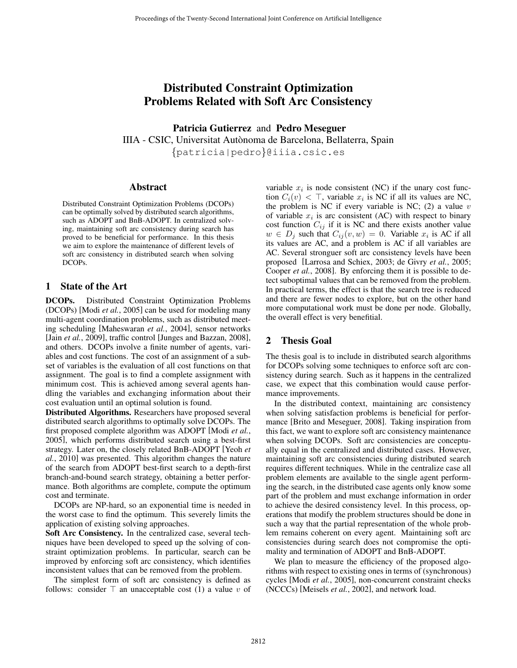# Distributed Constraint Optimization Problems Related with Soft Arc Consistency

Patricia Gutierrez and Pedro Meseguer

IIIA - CSIC, Universitat Autonoma de Barcelona, Bellaterra, Spain ` {patricia|pedro}@iiia.csic.es

#### Abstract

Distributed Constraint Optimization Problems (DCOPs) can be optimally solved by distributed search algorithms, such as ADOPT and BnB-ADOPT. In centralized solving, maintaining soft arc consistency during search has proved to be beneficial for performance. In this thesis we aim to explore the maintenance of different levels of soft arc consistency in distributed search when solving DCOPs.

### 1 State of the Art

DCOPs. Distributed Constraint Optimization Problems (DCOPs) [Modi *et al.*, 2005] can be used for modeling many multi-agent coordination problems, such as distributed meeting scheduling [Maheswaran *et al.*, 2004], sensor networks [Jain *et al.*, 2009], traffic control [Junges and Bazzan, 2008], and others. DCOPs involve a finite number of agents, variables and cost functions. The cost of an assignment of a subset of variables is the evaluation of all cost functions on that assignment. The goal is to find a complete assignment with minimum cost. This is achieved among several agents handling the variables and exchanging information about their cost evaluation until an optimal solution is found.

Distributed Algorithms. Researchers have proposed several distributed search algorithms to optimally solve DCOPs. The first proposed complete algorithm was ADOPT [Modi *et al.*, 2005], which performs distributed search using a best-first strategy. Later on, the closely related BnB-ADOPT [Yeoh *et al.*, 2010] was presented. This algorithm changes the nature of the search from ADOPT best-first search to a depth-first branch-and-bound search strategy, obtaining a better performance. Both algorithms are complete, compute the optimum cost and terminate.

DCOPs are NP-hard, so an exponential time is needed in the worst case to find the optimum. This severely limits the application of existing solving approaches.

Soft Arc Consistency. In the centralized case, several techniques have been developed to speed up the solving of constraint optimization problems. In particular, search can be improved by enforcing soft arc consistency, which identifies inconsistent values that can be removed from the problem.

The simplest form of soft arc consistency is defined as follows: consider  $\top$  an unacceptable cost (1) a value v of

variable  $x_i$  is node consistent (NC) if the unary cost function  $C_i(v) < \top$ , variable  $x_i$  is NC if all its values are NC, the problem is NC if every variable is NC; (2) a value  $v$ of variable  $x_i$  is arc consistent (AC) with respect to binary cost function  $C_{ij}$  if it is NC and there exists another value  $w \in D_j$  such that  $C_{ij}(v, w) = 0$ . Variable  $x_i$  is AC if all its values are AC, and a problem is AC if all variables are AC. Several stronguer soft arc consistency levels have been proposed [Larrosa and Schiex, 2003; de Givry *et al.*, 2005; Cooper *et al.*, 2008]. By enforcing them it is possible to detect suboptimal values that can be removed from the problem. In practical terms, the effect is that the search tree is reduced and there are fewer nodes to explore, but on the other hand more computational work must be done per node. Globally, the overall effect is very benefitial.

### 2 Thesis Goal

The thesis goal is to include in distributed search algorithms for DCOPs solving some techniques to enforce soft arc consistency during search. Such as it happens in the centralized case, we expect that this combination would cause performance improvements.

In the distributed context, maintaining arc consistency when solving satisfaction problems is beneficial for performance [Brito and Meseguer, 2008]. Taking inspiration from this fact, we want to explore soft arc consistency maintenance when solving DCOPs. Soft arc consistencies are conceptually equal in the centralized and distributed cases. However, maintaining soft arc consistencies during distributed search requires different techniques. While in the centralize case all problem elements are available to the single agent performing the search, in the distributed case agents only know some part of the problem and must exchange information in order to achieve the desired consistency level. In this process, operations that modify the problem structures should be done in such a way that the partial representation of the whole problem remains coherent on every agent. Maintaining soft arc consistencies during search does not compromise the optimality and termination of ADOPT and BnB-ADOPT.

We plan to measure the efficiency of the proposed algorithms with respect to existing ones in terms of (synchronous) cycles [Modi *et al.*, 2005], non-concurrent constraint checks (NCCCs) [Meisels *et al.*, 2002], and network load.